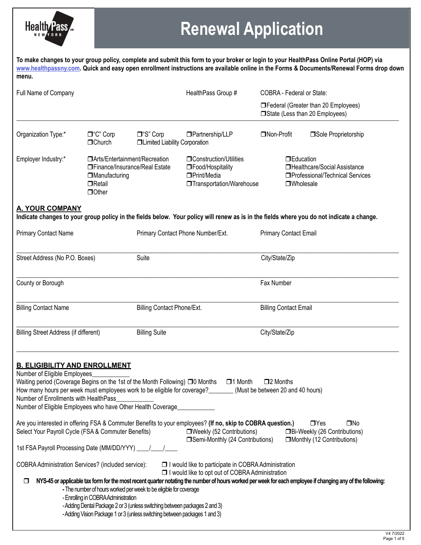

# **Renewal Application**

**To make changes to your group policy, complete and submit this form to your broker or login to your HealthPass Online Portal (HOP) via [www.healthpassny.com](http://www.healthpassny.com). Quick and easy open enrollment instructions are available online in the Forms & Documents/Renewal Forms drop down menu.** 

| Full Name of Company                                                                                                                                                                                                                                                                                                                                                                                                                                                                                                                                                                                                                                                                                                                                                                                                                                                                                                                                                                                                                                                                                                                                                                                                                                                                                                                                                                                                   |                                                                                                                            | HealthPass Group #                                         |                                                                                                                                           | <b>COBRA - Federal or State:</b>                                                                            |                                      |
|------------------------------------------------------------------------------------------------------------------------------------------------------------------------------------------------------------------------------------------------------------------------------------------------------------------------------------------------------------------------------------------------------------------------------------------------------------------------------------------------------------------------------------------------------------------------------------------------------------------------------------------------------------------------------------------------------------------------------------------------------------------------------------------------------------------------------------------------------------------------------------------------------------------------------------------------------------------------------------------------------------------------------------------------------------------------------------------------------------------------------------------------------------------------------------------------------------------------------------------------------------------------------------------------------------------------------------------------------------------------------------------------------------------------|----------------------------------------------------------------------------------------------------------------------------|------------------------------------------------------------|-------------------------------------------------------------------------------------------------------------------------------------------|-------------------------------------------------------------------------------------------------------------|--------------------------------------|
|                                                                                                                                                                                                                                                                                                                                                                                                                                                                                                                                                                                                                                                                                                                                                                                                                                                                                                                                                                                                                                                                                                                                                                                                                                                                                                                                                                                                                        |                                                                                                                            |                                                            |                                                                                                                                           | □ State (Less than 20 Employees)                                                                            | □Federal (Greater than 20 Employees) |
| Organization Type:*                                                                                                                                                                                                                                                                                                                                                                                                                                                                                                                                                                                                                                                                                                                                                                                                                                                                                                                                                                                                                                                                                                                                                                                                                                                                                                                                                                                                    | $\Box$ "C" Corp<br>$\Box$ Church                                                                                           | $\Box$ "S" Corp<br><b>Industrial Liability Corporation</b> | □Partnership/LLP                                                                                                                          | □Non-Profit                                                                                                 | □Sole Proprietorship                 |
| Employer Industry:*                                                                                                                                                                                                                                                                                                                                                                                                                                                                                                                                                                                                                                                                                                                                                                                                                                                                                                                                                                                                                                                                                                                                                                                                                                                                                                                                                                                                    | □Arts/Entertainment/Recreation<br>□Finance/Insurance/Real Estate<br><b>IManufacturing</b><br>$\Box$ Retail<br><b>Other</b> |                                                            | <b>Construction/Utilities</b><br>□Food/Hospitality<br>□Print/Media<br><b>Transportation/Warehouse</b>                                     | <b>DEducation</b><br>□Healthcare/Social Assistance<br>□Professional/Technical Services<br><b>OWholesale</b> |                                      |
| <b>A. YOUR COMPANY</b>                                                                                                                                                                                                                                                                                                                                                                                                                                                                                                                                                                                                                                                                                                                                                                                                                                                                                                                                                                                                                                                                                                                                                                                                                                                                                                                                                                                                 |                                                                                                                            |                                                            | Indicate changes to your group policy in the fields below. Your policy will renew as is in the fields where you do not indicate a change. |                                                                                                             |                                      |
| <b>Primary Contact Name</b>                                                                                                                                                                                                                                                                                                                                                                                                                                                                                                                                                                                                                                                                                                                                                                                                                                                                                                                                                                                                                                                                                                                                                                                                                                                                                                                                                                                            |                                                                                                                            | Primary Contact Phone Number/Ext.                          |                                                                                                                                           | <b>Primary Contact Email</b>                                                                                |                                      |
| Street Address (No P.O. Boxes)                                                                                                                                                                                                                                                                                                                                                                                                                                                                                                                                                                                                                                                                                                                                                                                                                                                                                                                                                                                                                                                                                                                                                                                                                                                                                                                                                                                         |                                                                                                                            | Suite                                                      |                                                                                                                                           | City/State/Zip                                                                                              |                                      |
| County or Borough                                                                                                                                                                                                                                                                                                                                                                                                                                                                                                                                                                                                                                                                                                                                                                                                                                                                                                                                                                                                                                                                                                                                                                                                                                                                                                                                                                                                      |                                                                                                                            |                                                            |                                                                                                                                           | Fax Number                                                                                                  |                                      |
| <b>Billing Contact Name</b>                                                                                                                                                                                                                                                                                                                                                                                                                                                                                                                                                                                                                                                                                                                                                                                                                                                                                                                                                                                                                                                                                                                                                                                                                                                                                                                                                                                            |                                                                                                                            | <b>Billing Contact Phone/Ext.</b>                          |                                                                                                                                           | <b>Billing Contact Email</b>                                                                                |                                      |
| <b>Billing Street Address (if different)</b>                                                                                                                                                                                                                                                                                                                                                                                                                                                                                                                                                                                                                                                                                                                                                                                                                                                                                                                                                                                                                                                                                                                                                                                                                                                                                                                                                                           |                                                                                                                            | <b>Billing Suite</b>                                       |                                                                                                                                           | City/State/Zip                                                                                              |                                      |
| <b>B. ELIGIBILITY AND ENROLLMENT</b><br>Number of Eligible Employees<br>Waiting period (Coverage Begins on the 1st of the Month Following) □ 0 Months<br>$\square$ 2 Months<br>$\Box$ 1 Month<br>How many hours per week must employees work to be eligible for coverage?<br>(Must be between 20 and 40 hours)<br>Number of Enrollments with HealthPass<br>Number of Eligible Employees who have Other Health Coverage<br>Are you interested in offering FSA & Commuter Benefits to your employees? (If no, skip to COBRA question.)<br>$\Box$ Yes<br>$\square$ No<br>□Weekly (52 Contributions)<br>Select Your Payroll Cycle (FSA & Commuter Benefits)<br>□Bi-Weekly (26 Contributions)<br>□Semi-Monthly (24 Contributions)<br>□Monthly (12 Contributions)<br>1st FSA Payroll Processing Date (MM/DD/YYY) _<br>COBRA Administration Services? (included service):<br>□ I would like to participate in COBRA Administration<br>□ I would like to opt out of COBRA Administration<br>NYS-45 or applicable tax form for the most recent quarter notating the number of hours worked per week for each employee if changing any of the following:<br>- The number of hours worked per week to be eligible for coverage<br>- Enrolling in COBRA Administration<br>- Adding Dental Package 2 or 3 (unless switching between packages 2 and 3)<br>- Adding Vision Package 1 or 3 (unless switching between packages 1 and 3) |                                                                                                                            |                                                            |                                                                                                                                           |                                                                                                             |                                      |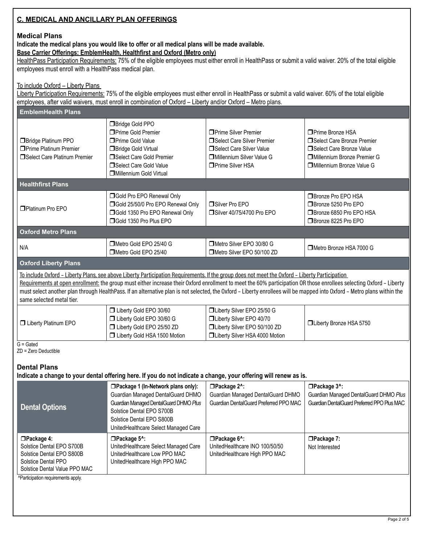#### **C. MEDICAL AND ANCILLARY PLAN OFFERINGS**

#### **Medical Plans**

**Indicate the medical plans you would like to offer or all medical plans will be made available.**

#### **Base Carrier Offerings: EmblemHealth, Healthfirst and Oxford (Metro only)**

HealthPass Participation Requirements: 75% of the eligible employees must either enroll in HealthPass or submit a valid waiver. 20% of the total eligible employees must enroll with a HealthPass medical plan.

#### To include Oxford – Liberty Plans

Liberty Participation Requirements: 75% of the eligible employees must either enroll in HealthPass or submit a valid waiver. 60% of the total eligible employees, after valid waivers, must enroll in combination of Oxford – Liberty and/or Oxford – Metro plans.

| <b>EmblemHealth Plans</b>                                                                                                                                                                                                                                                                                                                                                                                                                                                                                                     |                                                                                                                                                                                                                      |                                                                                                                                                |                                                                                                                                                    |  |
|-------------------------------------------------------------------------------------------------------------------------------------------------------------------------------------------------------------------------------------------------------------------------------------------------------------------------------------------------------------------------------------------------------------------------------------------------------------------------------------------------------------------------------|----------------------------------------------------------------------------------------------------------------------------------------------------------------------------------------------------------------------|------------------------------------------------------------------------------------------------------------------------------------------------|----------------------------------------------------------------------------------------------------------------------------------------------------|--|
| <b>Bridge Platinum PPO</b><br><b>Prime Platinum Premier</b><br>□Select Care Platinum Premier                                                                                                                                                                                                                                                                                                                                                                                                                                  | Bridge Gold PPO<br>□ Prime Gold Premier<br>□ Prime Gold Value<br>Bridge Gold Virtual<br>Select Care Gold Premier<br>Select Care Gold Value<br><b>I</b> Millennium Gold Virtual                                       | □ Prime Silver Premier<br>□Select Care Silver Premier<br>□Select Care Silver Value<br><b>IDMillennium Silver Value G</b><br>□ Prime Silver HSA | □ Prime Bronze HSA<br>Select Care Bronze Premier<br>□Select Care Bronze Value<br><b>IDMillennium Bronze Premier G</b><br>Millennium Bronze Value G |  |
| <b>Healthfirst Plans</b>                                                                                                                                                                                                                                                                                                                                                                                                                                                                                                      |                                                                                                                                                                                                                      |                                                                                                                                                |                                                                                                                                                    |  |
| □Platinum Pro EPO                                                                                                                                                                                                                                                                                                                                                                                                                                                                                                             | <b>Sold Pro EPO Renewal Only</b><br>Gold 25/50/0 Pro EPO Renewal Only<br><b>Sold 1350 Pro EPO Renewal Only</b><br>Gold 1350 Pro Plus EPO                                                                             | Silver Pro EPO<br>□Silver 40/75/4700 Pro EPO                                                                                                   | □ Bronze Pro EPO HSA<br>□Bronze 5250 Pro EPO<br>□Bronze 6850 Pro EPO HSA<br>□Bronze 8225 Pro EPO                                                   |  |
| <b>Oxford Metro Plans</b>                                                                                                                                                                                                                                                                                                                                                                                                                                                                                                     |                                                                                                                                                                                                                      |                                                                                                                                                |                                                                                                                                                    |  |
| N/A                                                                                                                                                                                                                                                                                                                                                                                                                                                                                                                           | Metro Gold EPO 25/40 G<br>Metro Gold EPO 25/40                                                                                                                                                                       | Metro Silver EPO 30/80 G<br>Metro Silver EPO 50/100 ZD                                                                                         | Metro Bronze HSA 7000 G                                                                                                                            |  |
| <b>Oxford Liberty Plans</b>                                                                                                                                                                                                                                                                                                                                                                                                                                                                                                   |                                                                                                                                                                                                                      |                                                                                                                                                |                                                                                                                                                    |  |
| To include Oxford - Liberty Plans, see above Liberty Participation Requirements. If the group does not meet the Oxford - Liberty Participation<br>Requirements at open enrollment: the group must either increase their Oxford enrollment to meet the 60% participation OR those enrollees selecting Oxford - Liberty<br>must select another plan through HealthPass. If an alternative plan is not selected, the Oxford - Liberty enrollees will be mapped into Oxford - Metro plans within the<br>same selected metal tier. |                                                                                                                                                                                                                      |                                                                                                                                                |                                                                                                                                                    |  |
| <b>U</b> Liberty Platinum EPO                                                                                                                                                                                                                                                                                                                                                                                                                                                                                                 | Liberty Gold EPO 30/60<br>□ Liberty Gold EPO 30/60 G<br>□ Liberty Gold EPO 25/50 ZD<br><b>ID</b> Liberty Gold HSA 1500 Motion                                                                                        | □Liberty Silver EPO 25/50 G<br>□Liberty Silver EPO 40/70<br>□Liberty Silver EPO 50/100 ZD<br><b>IDLiberty Silver HSA 4000 Motion</b>           | □Liberty Bronze HSA 5750                                                                                                                           |  |
| $G =$ Gated<br>ZD = Zero Deductible                                                                                                                                                                                                                                                                                                                                                                                                                                                                                           |                                                                                                                                                                                                                      |                                                                                                                                                |                                                                                                                                                    |  |
| <b>Dental Plans</b>                                                                                                                                                                                                                                                                                                                                                                                                                                                                                                           | Indicate a change to your dental offering here. If you do not indicate a change, your offering will renew as is.                                                                                                     |                                                                                                                                                |                                                                                                                                                    |  |
| <b>Dental Options</b>                                                                                                                                                                                                                                                                                                                                                                                                                                                                                                         | □Package 1 (In-Network plans only):<br>Guardian Managed DentalGuard DHMO<br>Guardian Managed DentalGuard DHMO Plus<br>Solstice Dental EPO S700B<br>Solstice Dental EPO S800B<br>UnitedHealthcare Select Managed Care | □Package 2^:<br>Guardian Managed DentalGuard DHMO<br>Guardian DentalGuard Preferred PPO MAC                                                    | □Package 3^:<br>Guardian Managed DentalGuard DHMO Plus<br>Guardian DentalGuard Preferred PPO Plus MAC                                              |  |
| □Package 4:<br>Solstice Dental EPO S700B<br>Solstice Dental EPO S800B<br>Solstice Dental PPO<br>Solstice Dental Value PPO MAC<br>^Participation requirements apply.                                                                                                                                                                                                                                                                                                                                                           | □Package 5^:<br>UnitedHealthcare Select Managed Care<br>UnitedHealthcare Low PPO MAC<br>UnitedHealthcare High PPO MAC                                                                                                | □Package 6^:<br>UnitedHealthcare INO 100/50/50<br>UnitedHealthcare High PPO MAC                                                                | □Package 7:<br>Not Interested                                                                                                                      |  |
|                                                                                                                                                                                                                                                                                                                                                                                                                                                                                                                               |                                                                                                                                                                                                                      |                                                                                                                                                |                                                                                                                                                    |  |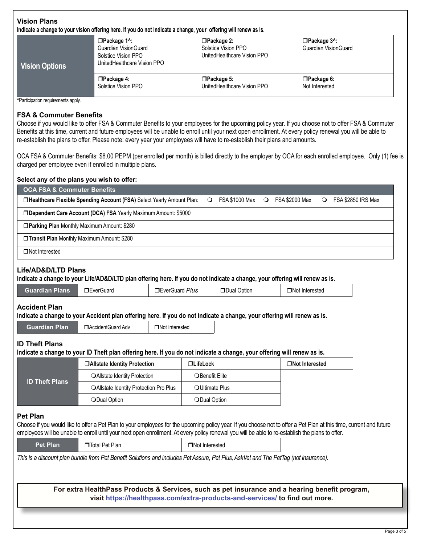#### **Vision Plans Indicate a change to your vision offering here. If you do not indicate a change, your offering will renew as is.**

| Vision Options | $\Box$ Package 1^:<br><b>Guardian VisionGuard</b><br>Solstice Vision PPO<br>UnitedHealthcare Vision PPO | $\Box$ Package 2:<br>Solstice Vision PPO<br>UnitedHealthcare Vision PPO | $\Box$ Package $3^{\wedge}$ :<br><b>Guardian VisionGuard</b> |
|----------------|---------------------------------------------------------------------------------------------------------|-------------------------------------------------------------------------|--------------------------------------------------------------|
|                | $\Box$ Package 4:                                                                                       | $\Box$ Package 5:                                                       | □Package 6:                                                  |
|                | Solstice Vision PPO                                                                                     | UnitedHealthcare Vision PPO                                             | Not Interested                                               |

^Participation requirements apply.

#### **FSA & Commuter Benefits**

Choose if you would like to offer FSA & Commuter Benefits to your employees for the upcoming policy year. If you choose not to offer FSA & Commuter Benefits at this time, current and future employees will be unable to enroll until your next open enrollment. At every policy renewal you will be able to re-establish the plans to offer. Please note: every year your employees will have to re-establish their plans and amounts.

OCA FSA & Commuter Benefits: \$8.00 PEPM (per enrolled per month) is billed directly to the employer by OCA for each enrolled employee. Only (1) fee is charged per employee even if enrolled in multiple plans.

## **Select any of the plans you wish to offer: OCA FSA & Commuter Benefits** r**Healthcare Flexible Spending Account (FSA)** Select Yearly Amount Plan: m FSA \$1000 Max m FSA \$2000 Max m FSA \$2850 IRS Max **IDependent Care Account (DCA) FSA** Yearly Maximum Amount: \$5000 **Parking Plan Monthly Maximum Amount: \$280 Transit Plan Monthly Maximum Amount: \$280**  $\Box$ Not Interested **Life/AD&D/LTD Plans Indicate a change to your Life/AD&D/LTD plan offering here. If you do not indicate a change, your offering will renew as is. Guardian Plans** DeverGuard **reverGuard DeverGuard** *Plus* DDual Option **ReverGuard Plus ReverGuard Plus Accident Plan Indicate a change to your Accident plan offering here. If you do not indicate a change, your offering will renew as is. Guardian Plan D**AccidentGuard Adv **D**Not Interested **ID Theft Plans Indicate a change to your ID Theft plan offering here. If you do not indicate a change, your offering will renew as is. ID Theft Plans** r**Allstate Identity Protection** r**LifeLock** r**Not Interested** OAllstate Identity Protection **DEPALL** OBenefit Elite OAllstate Identity Protection Pro Plus | OUltimate Plus **ODual Option match on the Collection model of Collection** model of Collection model of Collection model of Collection model of Collection model of Collection model of Collection model of Collection model of Collection mod **Pet Plan** Choose if you would like to offer a Pet Plan to your employees for the upcoming policy year. If you choose not to offer a Pet Plan at this time, current and future employees will be unable to enroll until your next open enrollment. At every policy renewal you will be able to re-establish the plans to offer. **Pet Plan D** Total Pet Plan **random random random random random random random random random random random random random random random random random random random random random ra** *This is a discount plan bundle from Pet Benefit Solutions and includes Pet Assure, Pet Plus, AskVet and The PetTag (not insurance).*

**For extra HealthPass Products & Services, such as pet insurance and a hearing benefit program, visit https://healthpass.com/extra-products-and-services/ to find out more.**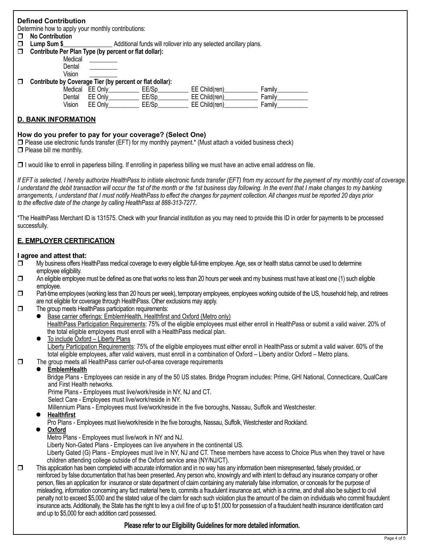|        | <b>Defined Contribution</b>                           |         |                                                                   |               |        |  |
|--------|-------------------------------------------------------|---------|-------------------------------------------------------------------|---------------|--------|--|
|        | Determine how to apply your monthly contributions:    |         |                                                                   |               |        |  |
| $\Box$ | <b>No Contribution</b>                                |         |                                                                   |               |        |  |
| $\Box$ | Lump Sum \$                                           |         | Additional funds will rollover into any selected ancillary plans. |               |        |  |
| $\Box$ | Contribute Per Plan Type (by percent or flat dollar): |         |                                                                   |               |        |  |
|        | Medical                                               |         |                                                                   |               |        |  |
|        | Dental                                                |         |                                                                   |               |        |  |
|        | Vision                                                |         |                                                                   |               |        |  |
| П      |                                                       |         | Contribute by Coverage Tier (by percent or flat dollar):          |               |        |  |
|        | Medical                                               | EE Only | EE/Sp                                                             | EE Child(ren) | Family |  |
|        | Dental                                                | FF Only | FF/Sn                                                             | FF Child(ren) | Family |  |

### Dental EE Only\_\_\_\_\_\_\_\_\_\_ EE/Sp\_\_\_\_\_\_\_\_\_\_ EE Child(ren)\_\_\_\_\_\_\_\_\_\_\_ Family\_\_\_\_\_\_\_\_\_\_ Vision EE Only EE/Sp EE Child(ren) Family

#### **D. BANK INFORMATION**

#### **How do you prefer to pay for your coverage? (Select One)**

 $\square$  Please use electronic funds transfer (EFT) for my monthly payment.\* (Must attach a voided business check)  $\Box$  Please bill me monthly.

 $\Box$  I would like to enroll in paperless billing. If enrolling in paperless billing we must have an active email address on file.

*If EFT is selected, I hereby authorize HealthPass to initiate electronic funds transfer (EFT) from my account for the payment of my monthly cost of coverage. I understand the debit transaction will occur the 1st of the month or the 1st business day following. In the event that I make changes to my banking arrangements, I understand that I must notify HealthPass to effect the changes for payment collection. All changes must be reported 20 days prior to the effective date of the change by calling HealthPass at 888-313-7277.*

\*The HealthPass Merchant ID is 131575. Check with your financial institution as you may need to provide this ID in order for payments to be processed successfully.

#### **E. EMPLOYER CERTIFICATION**

#### **I agree and attest that:**

- $\Box$  My business offers Health Pass medical coverage to every eligible full-time employee. Age, sex or health status cannot be used to determine employee eligibility.<br>An eligible employe
- An eligible employee must be defined as one that works no less than 20 hours per week and my business must have at least one (1) such eligible employee.
- $\square$  Part-time employees (working less than 20 hours per week), temporary employees, employees working outside of the US, household help, and retirees are not eligible for coverage through HealthPass. Other exclusions may apply.<br>
The group meets HealthPass participation requirements:
- The group meets HealthPass participation requirements:
	- **Base carrier offerings: EmblemHealth, Healthfirst and Oxford (Metro only)** HealthPass Participation Requirements: 75% of the eligible employees must either enroll in HealthPass or submit a valid waiver. 20% of the total eligible employees must enroll with a HealthPass medical plan.
	- To include Oxford Liberty Plans Liberty Participation Requirements: 75% of the eligible employees must either enroll in HealthPass or submit a valid waiver. 60% of the total eligible employees, after valid waivers, must enroll in a combination of Oxford – Liberty and/or Oxford – Metro plans.
- $\Box$  The group meets all HealthPass carrier out-of-area coverage requirements

#### l **EmblemHealth**

 Bridge Plans - Employees can reside in any of the 50 US states. Bridge Program includes: Prime, GHI National, Connecticare, QualCare and First Health networks.

Prime Plans - Employees must live/work/reside in NY, NJ and CT.

Select Care - Employees must live/work/reside in NY.

Millennium Plans - Employees must live/work/reside in the five boroughs, Nassau, Suffolk and Westchester.

#### l **Healthfirst**

Pro Plans - Employees must live/work/reside in the five boroughs, Nassau, Suffolk, Westchester and Rockland. 

l **Oxford**

Metro Plans - Employees must live/work in NY and NJ.

Liberty Non-Gated Plans - Employees can live anywhere in the continental US.

 Liberty Gated (G) Plans - Employees must live in NY, NJ and CT. These members have access to Choice Plus when they travel or have children attending college outside of the Oxford service area (NY/NJ/CT).<br>This application has been completed with accurate information and in no way has a

This application has been completed with accurate information and in no way has any information been misrepresented, falsely provided, or reinforced by false documentation that has been presented. Any person who, knowingly and with intent to defraud any insurance company or other person, files an application for insurance or state department of claim containing any materially false information, or conceals for the purpose of misleading, information concerning any fact material here to, commits a fraudulent insurance act, which is a crime, and shall also be subject to civil penalty not to exceed \$5,000 and the stated value of the claim for each such violation plus the amount of the claim on individuals who commit fraudulent insurance acts.Additionally, the State has the right to levy a civil fine of up to \$1,000 for possession of a fraudulent health insurance identification card and up to \$5,000 for each addition card possessed.

#### **Please refer to our Eligibility Guidelines for more detailed information.**